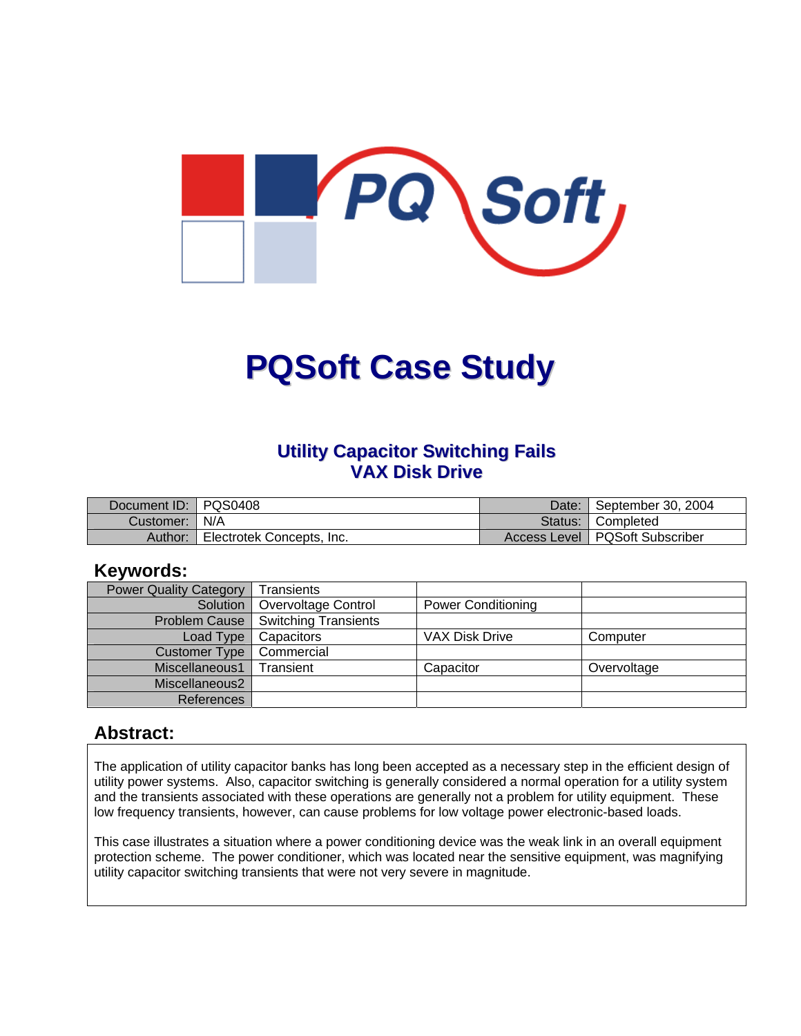

# **PQSoft Case Study**

#### **Utility Capacitor Switching Fails VAX Disk Drive**

| Document ID:   PQS0408 |                           | Date: September 30, 2004         |
|------------------------|---------------------------|----------------------------------|
| Customer:   N/A        |                           | Status: Completed                |
| Author:                | Electrotek Concepts, Inc. | Access Level   PQSoft Subscriber |

#### **Keywords:**

| <b>Power Quality Category</b> | Transients                  |                           |             |
|-------------------------------|-----------------------------|---------------------------|-------------|
| Solution                      | Overvoltage Control         | <b>Power Conditioning</b> |             |
| <b>Problem Cause</b>          | <b>Switching Transients</b> |                           |             |
| Load Type                     | Capacitors                  | <b>VAX Disk Drive</b>     | Computer    |
| Customer Type                 | Commercial                  |                           |             |
| Miscellaneous1                | Transient                   | Capacitor                 | Overvoltage |
| Miscellaneous2                |                             |                           |             |
| References                    |                             |                           |             |

#### **Abstract:**

The application of utility capacitor banks has long been accepted as a necessary step in the efficient design of utility power systems. Also, capacitor switching is generally considered a normal operation for a utility system and the transients associated with these operations are generally not a problem for utility equipment. These low frequency transients, however, can cause problems for low voltage power electronic-based loads.

This case illustrates a situation where a power conditioning device was the weak link in an overall equipment protection scheme. The power conditioner, which was located near the sensitive equipment, was magnifying utility capacitor switching transients that were not very severe in magnitude.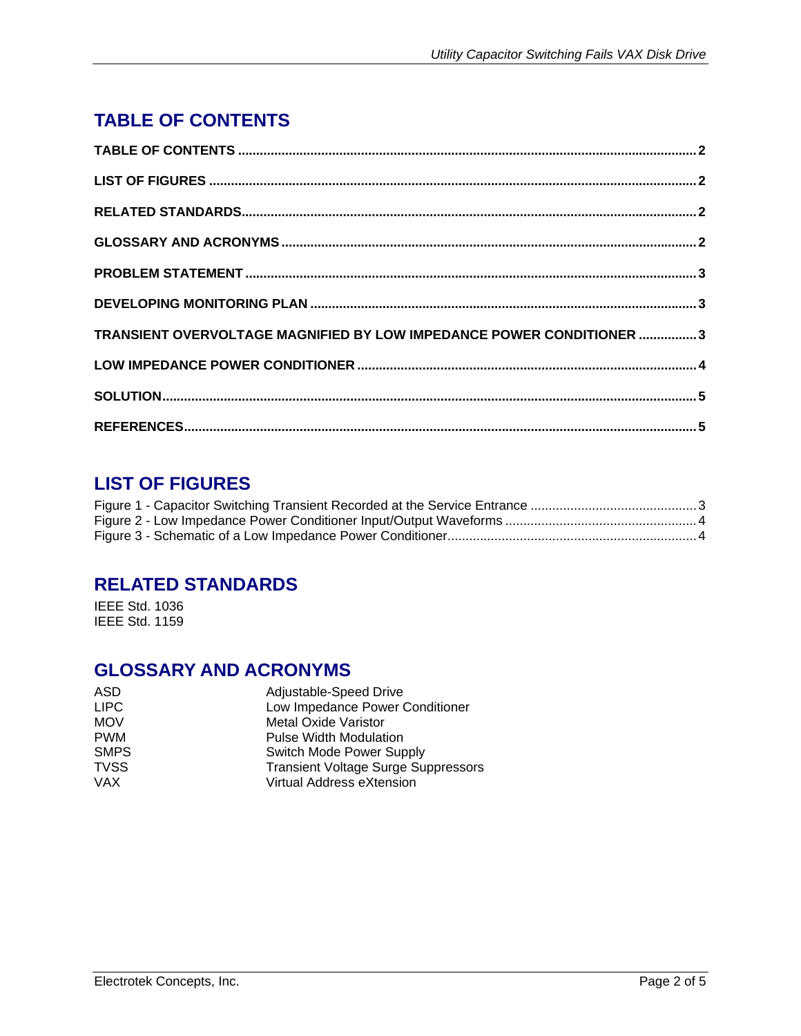## <span id="page-1-0"></span>**TABLE OF CONTENTS**

| TRANSIENT OVERVOLTAGE MAGNIFIED BY LOW IMPEDANCE POWER CONDITIONER 3 |  |
|----------------------------------------------------------------------|--|
|                                                                      |  |
|                                                                      |  |
|                                                                      |  |

## **LIST OF FIGURES**

#### **RELATED STANDARDS**

IEEE Std. 1036 IEEE Std. 1159

#### **GLOSSARY AND ACRONYMS**

| <b>ASD</b>  | Adjustable-Speed Drive                     |
|-------------|--------------------------------------------|
| <b>LIPC</b> | Low Impedance Power Conditioner            |
| <b>MOV</b>  | <b>Metal Oxide Varistor</b>                |
| <b>PWM</b>  | <b>Pulse Width Modulation</b>              |
| <b>SMPS</b> | Switch Mode Power Supply                   |
| <b>TVSS</b> | <b>Transient Voltage Surge Suppressors</b> |
| <b>VAX</b>  | Virtual Address eXtension                  |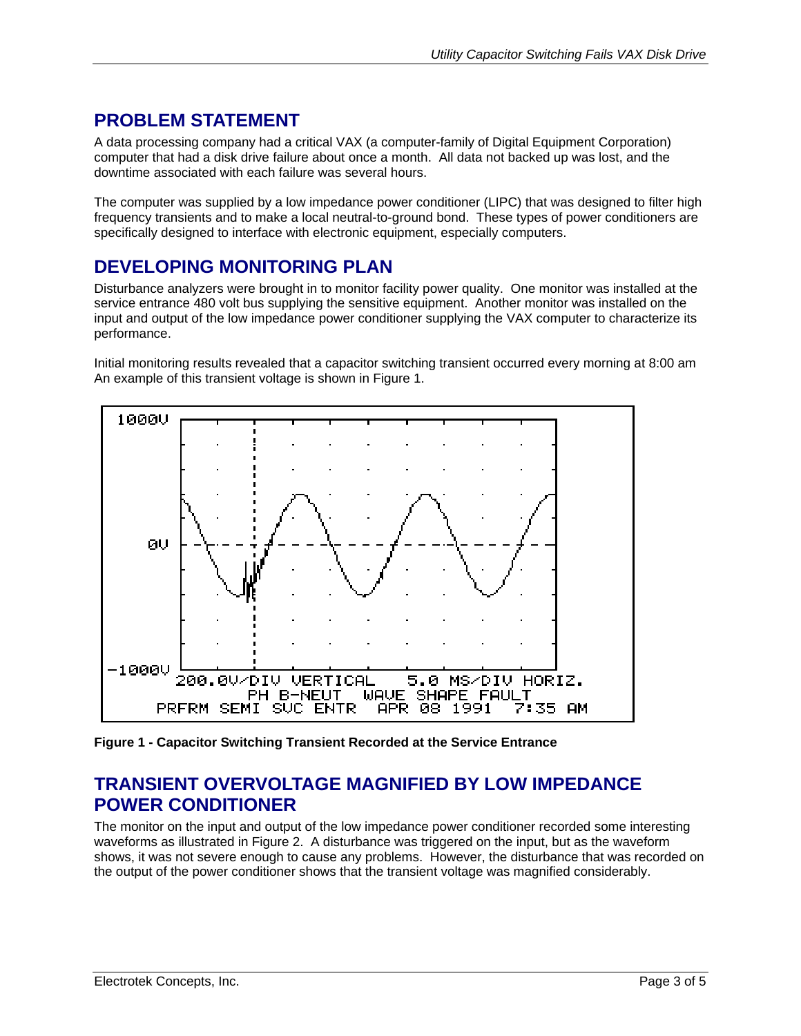## <span id="page-2-0"></span>**PROBLEM STATEMENT**

A data processing company had a critical VAX (a computer-family of Digital Equipment Corporation) computer that had a disk drive failure about once a month. All data not backed up was lost, and the downtime associated with each failure was several hours.

The computer was supplied by a low impedance power conditioner (LIPC) that was designed to filter high frequency transients and to make a local neutral-to-ground bond. These types of power conditioners are specifically designed to interface with electronic equipment, especially computers.

## **DEVELOPING MONITORING PLAN**

Disturbance analyzers were brought in to monitor facility power quality. One monitor was installed at the service entrance 480 volt bus supplying the sensitive equipment. Another monitor was installed on the input and output of the low impedance power conditioner supplying the VAX computer to characterize its performance.

Initial monitoring results revealed that a capacitor switching transient occurred every morning at 8:00 am An example of this transient voltage is shown in [Figure 1.](#page-2-1)

<span id="page-2-1"></span>

**Figure 1 - Capacitor Switching Transient Recorded at the Service Entrance**

#### **TRANSIENT OVERVOLTAGE MAGNIFIED BY LOW IMPEDANCE POWER CONDITIONER**

The monitor on the input and output of the low impedance power conditioner recorded some interesting waveforms as illustrated in [Figure 2.](#page-3-1) A disturbance was triggered on the input, but as the waveform shows, it was not severe enough to cause any problems. However, the disturbance that was recorded on the output of the power conditioner shows that the transient voltage was magnified considerably.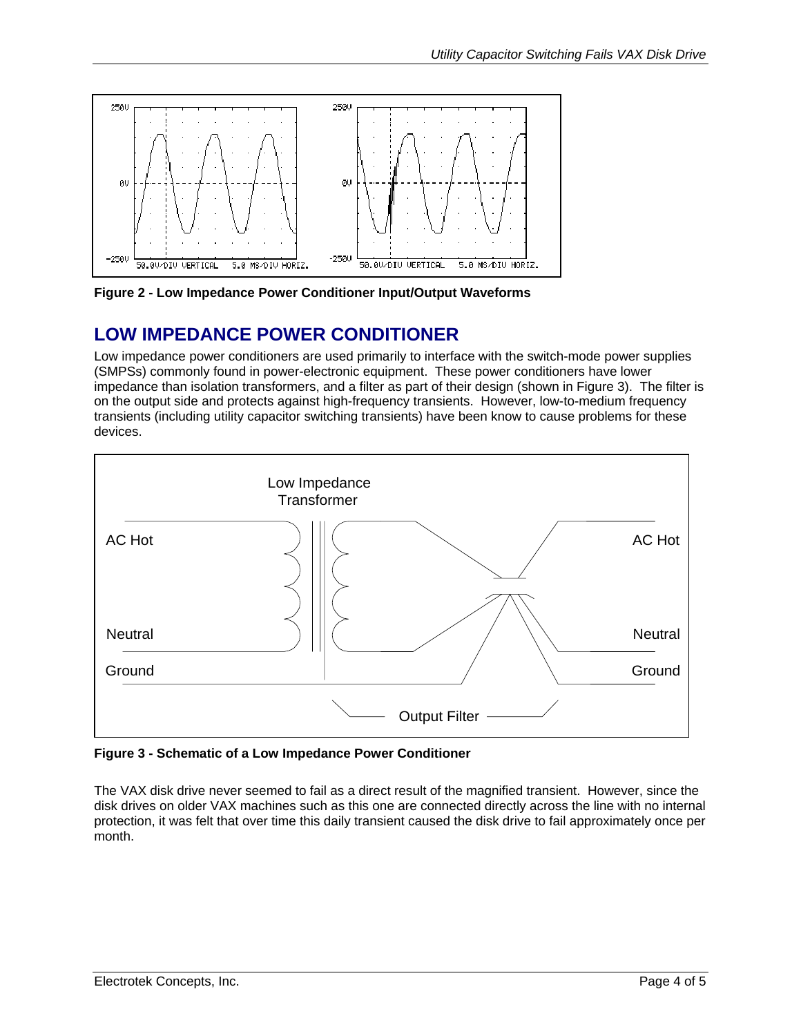<span id="page-3-1"></span><span id="page-3-0"></span>

**Figure 2 - Low Impedance Power Conditioner Input/Output Waveforms** 

#### **LOW IMPEDANCE POWER CONDITIONER**

Low impedance power conditioners are used primarily to interface with the switch-mode power supplies (SMPSs) commonly found in power-electronic equipment. These power conditioners have lower impedance than isolation transformers, and a filter as part of their design (shown in [Figure 3\)](#page-3-2). The filter is on the output side and protects against high-frequency transients. However, low-to-medium frequency transients (including utility capacitor switching transients) have been know to cause problems for these devices.

<span id="page-3-2"></span>

**Figure 3 - Schematic of a Low Impedance Power Conditioner** 

The VAX disk drive never seemed to fail as a direct result of the magnified transient. However, since the disk drives on older VAX machines such as this one are connected directly across the line with no internal protection, it was felt that over time this daily transient caused the disk drive to fail approximately once per month.